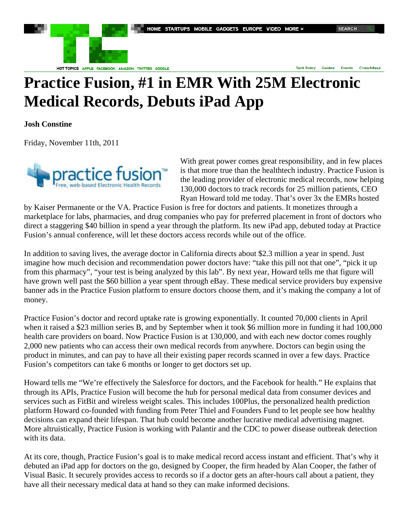

HOT TOPICS APPLE FACEBOOK AMAZON TWITTER GOOGLE

**Tech Policy Guides Events CrunchBase** 

## **Practice Fusion, #1 in EMR With 25M Electronic Medical Records, Debuts iPad App**

**Josh Constine** 

Friday, November 11th, 2011



With great power comes great responsibility, and in few places is that more true than the healthtech industry. Practice Fusion is the leading provider of electronic medical records, now helping 130,000 doctors to track records for 25 million patients, CEO Ryan Howard told me today. That's over 3x the EMRs hosted

by Kaiser Permanente or the VA. Practice Fusion is free for doctors and patients. It monetizes through a marketplace for labs, pharmacies, and drug companies who pay for preferred placement in front of doctors who direct a staggering \$40 billion in spend a year through the platform. Its new iPad app, debuted today at Practice Fusion's annual conference, will let these doctors access records while out of the office.

In addition to saving lives, the average doctor in California directs about \$2.3 million a year in spend. Just imagine how much decision and recommendation power doctors have: "take this pill not that one", "pick it up from this pharmacy", "your test is being analyzed by this lab". By next year, Howard tells me that figure will have grown well past the \$60 billion a year spent through eBay. These medical service providers buy expensive banner ads in the Practice Fusion platform to ensure doctors choose them, and it's making the company a lot of money.

Practice Fusion's doctor and record uptake rate is growing exponentially. It counted 70,000 clients in April when it raised a \$23 million series B, and by September when it took \$6 million more in funding it had 100,000 health care providers on board. Now Practice Fusion is at 130,000, and with each new doctor comes roughly 2,000 new patients who can access their own medical records from anywhere. Doctors can begin using the product in minutes, and can pay to have all their existing paper records scanned in over a few days. Practice Fusion's competitors can take 6 months or longer to get doctors set up.

Howard tells me "We're effectively the Salesforce for doctors, and the Facebook for health." He explains that through its APIs, Practice Fusion will become the hub for personal medical data from consumer devices and services such as FitBit and wireless weight scales. This includes 100Plus, the personalized health prediction platform Howard co-founded with funding from Peter Thiel and Founders Fund to let people see how healthy decisions can expand their lifespan. That hub could become another lucrative medical advertising magnet. More altruistically, Practice Fusion is working with Palantir and the CDC to power disease outbreak detection with its data.

At its core, though, Practice Fusion's goal is to make medical record access instant and efficient. That's why it debuted an iPad app for doctors on the go, designed by Cooper, the firm headed by Alan Cooper, the father of Visual Basic. It securely provides access to records so if a doctor gets an after-hours call about a patient, they have all their necessary medical data at hand so they can make informed decisions.